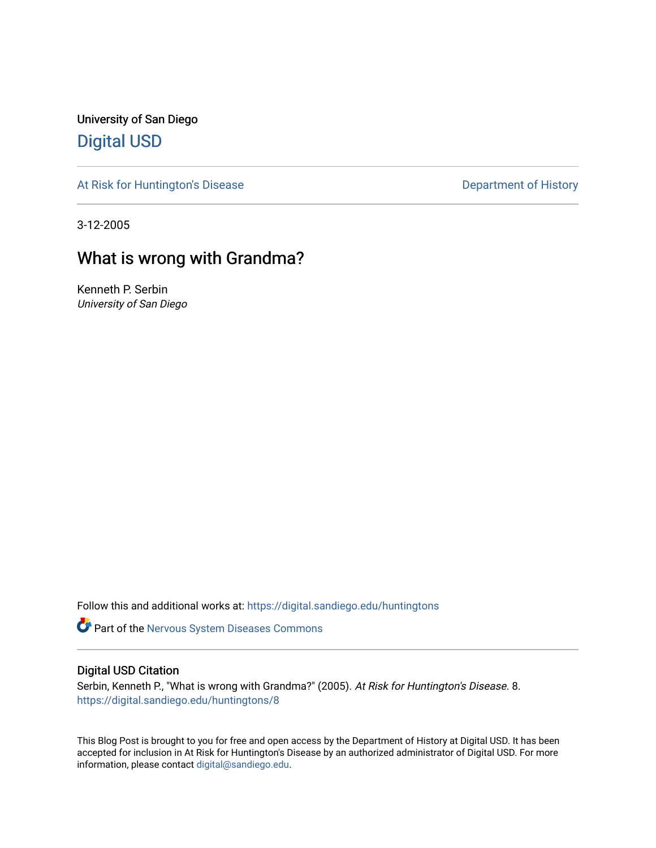University of San Diego [Digital USD](https://digital.sandiego.edu/)

[At Risk for Huntington's Disease](https://digital.sandiego.edu/huntingtons) **Department of History** Department of History

3-12-2005

# What is wrong with Grandma?

Kenneth P. Serbin University of San Diego

Follow this and additional works at: [https://digital.sandiego.edu/huntingtons](https://digital.sandiego.edu/huntingtons?utm_source=digital.sandiego.edu%2Fhuntingtons%2F8&utm_medium=PDF&utm_campaign=PDFCoverPages)

**Part of the [Nervous System Diseases Commons](http://network.bepress.com/hgg/discipline/928?utm_source=digital.sandiego.edu%2Fhuntingtons%2F8&utm_medium=PDF&utm_campaign=PDFCoverPages)** 

### Digital USD Citation

Serbin, Kenneth P., "What is wrong with Grandma?" (2005). At Risk for Huntington's Disease. 8. [https://digital.sandiego.edu/huntingtons/8](https://digital.sandiego.edu/huntingtons/8?utm_source=digital.sandiego.edu%2Fhuntingtons%2F8&utm_medium=PDF&utm_campaign=PDFCoverPages) 

This Blog Post is brought to you for free and open access by the Department of History at Digital USD. It has been accepted for inclusion in At Risk for Huntington's Disease by an authorized administrator of Digital USD. For more information, please contact [digital@sandiego.edu.](mailto:digital@sandiego.edu)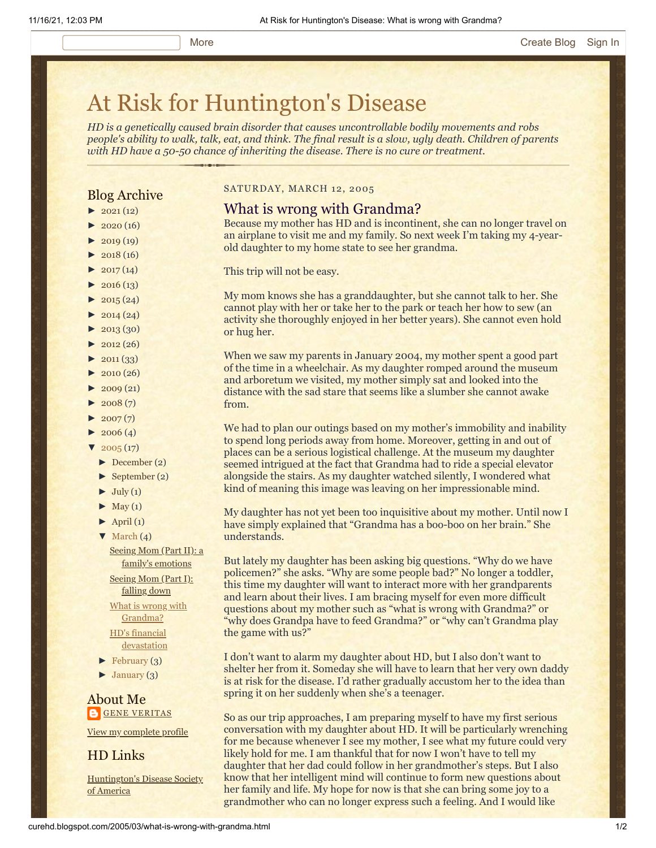# [At Risk for Huntington's Disease](http://curehd.blogspot.com/)

*HD is a genetically caused brain disorder that causes uncontrollable bodily movements and robs people's ability to walk, talk, eat, and think. The final result is a slow, ugly death. Children of parents with HD have a 50-50 chance of inheriting the disease. There is no cure or treatment.*

## Blog Archive

- $\blacktriangleright$  [2021](http://curehd.blogspot.com/2021/)(12)
- $2020(16)$  $2020(16)$
- $\blacktriangleright$  [2019](http://curehd.blogspot.com/2019/) (19)
- $\blacktriangleright$  [2018](http://curehd.blogspot.com/2018/) (16)
- $-2017(14)$  $-2017(14)$  $-2017(14)$
- $-2016(13)$  $-2016(13)$  $-2016(13)$  $\blacktriangleright$  [2015](http://curehd.blogspot.com/2015/) (24)
- 
- $\blacktriangleright$  [2014](http://curehd.blogspot.com/2014/) (24)
- $\blacktriangleright$  [2013](http://curehd.blogspot.com/2013/) (30)
- $\blacktriangleright$  [2012](http://curehd.blogspot.com/2012/) (26)  $\blacktriangleright$  [2011](http://curehd.blogspot.com/2011/) (33)
- $\blacktriangleright$  [2010](http://curehd.blogspot.com/2010/) (26)
- 
- $\blacktriangleright$  [2009](http://curehd.blogspot.com/2009/) (21)
- $\blacktriangleright$  [2008](http://curehd.blogspot.com/2008/) $(7)$
- $\blacktriangleright$  [2007](http://curehd.blogspot.com/2007/) $(7)$
- $\blacktriangleright$  [2006](http://curehd.blogspot.com/2006/) (4)
- $\sqrt{2005(17)}$  $\sqrt{2005(17)}$  $\sqrt{2005(17)}$ 
	- [►](javascript:void(0)) [December](http://curehd.blogspot.com/2005/12/) (2)
	- [►](javascript:void(0)) [September](http://curehd.blogspot.com/2005/09/) (2)
	- $\blacktriangleright$  [July](http://curehd.blogspot.com/2005/07/) (1)
	- $\blacktriangleright$  [May](http://curehd.blogspot.com/2005/05/) (1)
	- $\blacktriangleright$  [April](http://curehd.blogspot.com/2005/04/) (1)
	- $\nabla$  [March](http://curehd.blogspot.com/2005/03/)  $(4)$ 
		- Seeing Mom (Part II): a family's [emotions](http://curehd.blogspot.com/2005/03/seeing-mom-part-ii-familys-emotions.html)

[Seeing](http://curehd.blogspot.com/2005/03/seeing-mom-part-i-falling-down.html) Mom (Part I): falling down

What is wrong with [Grandma?](http://curehd.blogspot.com/2005/03/what-is-wrong-with-grandma.html)

HD's financial [devastation](http://curehd.blogspot.com/2005/03/hds-financial-devastation.html)

- $\blacktriangleright$  [February](http://curehd.blogspot.com/2005/02/) (3)
- $\blacktriangleright$  [January](http://curehd.blogspot.com/2005/01/) (3)

About Me **GENE [VERITAS](https://www.blogger.com/profile/10911736205741688185)** 

View my [complete](https://www.blogger.com/profile/10911736205741688185) profile

HD Links

[Huntington's](http://www.hdsa.org/) Disease Society of America

#### SATURDAY, MARCH 12, 2005

#### What is wrong with Grandma?

Because my mother has HD and is incontinent, she can no longer travel on an airplane to visit me and my family. So next week I'm taking my 4-yearold daughter to my home state to see her grandma.

This trip will not be easy.

My mom knows she has a granddaughter, but she cannot talk to her. She cannot play with her or take her to the park or teach her how to sew (an activity she thoroughly enjoyed in her better years). She cannot even hold or hug her.

When we saw my parents in January 2004, my mother spent a good part of the time in a wheelchair. As my daughter romped around the museum and arboretum we visited, my mother simply sat and looked into the distance with the sad stare that seems like a slumber she cannot awake from.

We had to plan our outings based on my mother's immobility and inability to spend long periods away from home. Moreover, getting in and out of places can be a serious logistical challenge. At the museum my daughter seemed intrigued at the fact that Grandma had to ride a special elevator alongside the stairs. As my daughter watched silently, I wondered what kind of meaning this image was leaving on her impressionable mind.

My daughter has not yet been too inquisitive about my mother. Until now I have simply explained that "Grandma has a boo-boo on her brain." She understands.

But lately my daughter has been asking big questions. "Why do we have policemen?" she asks. "Why are some people bad?" No longer a toddler, this time my daughter will want to interact more with her grandparents and learn about their lives. I am bracing myself for even more difficult questions about my mother such as "what is wrong with Grandma?" or "why does Grandpa have to feed Grandma?" or "why can't Grandma play the game with us?"

I don't want to alarm my daughter about HD, but I also don't want to shelter her from it. Someday she will have to learn that her very own daddy is at risk for the disease. I'd rather gradually accustom her to the idea than spring it on her suddenly when she's a teenager.

So as our trip approaches, I am preparing myself to have my first serious conversation with my daughter about HD. It will be particularly wrenching for me because whenever I see my mother, I see what my future could very likely hold for me. I am thankful that for now I won't have to tell my daughter that her dad could follow in her grandmother's steps. But I also know that her intelligent mind will continue to form new questions about her family and life. My hope for now is that she can bring some joy to a grandmother who can no longer express such a feeling. And I would like